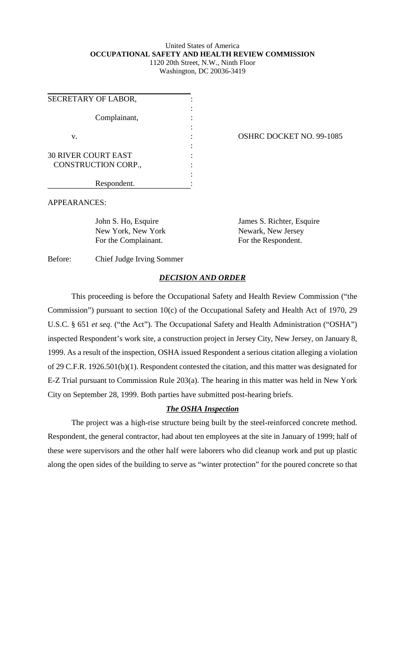## United States of America **OCCUPATIONAL SAFETY AND HEALTH REVIEW COMMISSION** 1120 20th Street, N.W., Ninth Floor

Washington, DC 20036-3419

| SECRETARY OF LABOR,        |  |
|----------------------------|--|
|                            |  |
| Complainant,               |  |
|                            |  |
| V.                         |  |
|                            |  |
| <b>30 RIVER COURT EAST</b> |  |
| CONSTRUCTION CORP.,        |  |
|                            |  |
| Respondent.                |  |

OSHRC DOCKET NO. 99-1085

APPEARANCES:

New York, New York New York New York New York New York New York New York New York New York New York New York New York New York New York New York New York New York New York New York New York New York New York New York New Y For the Complainant. For the Respondent.

John S. Ho, Esquire James S. Richter, Esquire

Before: Chief Judge Irving Sommer

## *DECISION AND ORDER*

This proceeding is before the Occupational Safety and Health Review Commission ("the Commission") pursuant to section 10(c) of the Occupational Safety and Health Act of 1970, 29 U.S.C. § 651 *et seq*. ("the Act"). The Occupational Safety and Health Administration ("OSHA") inspected Respondent's work site, a construction project in Jersey City, New Jersey, on January 8, 1999. As a result of the inspection, OSHA issued Respondent a serious citation alleging a violation of 29 C.F.R. 1926.501(b)(1). Respondent contested the citation, and this matter was designated for E-Z Trial pursuant to Commission Rule 203(a). The hearing in this matter was held in New York City on September 28, 1999. Both parties have submitted post-hearing briefs.

## *The OSHA Inspection*

The project was a high-rise structure being built by the steel-reinforced concrete method. Respondent, the general contractor, had about ten employees at the site in January of 1999; half of these were supervisors and the other half were laborers who did cleanup work and put up plastic along the open sides of the building to serve as "winter protection" for the poured concrete so that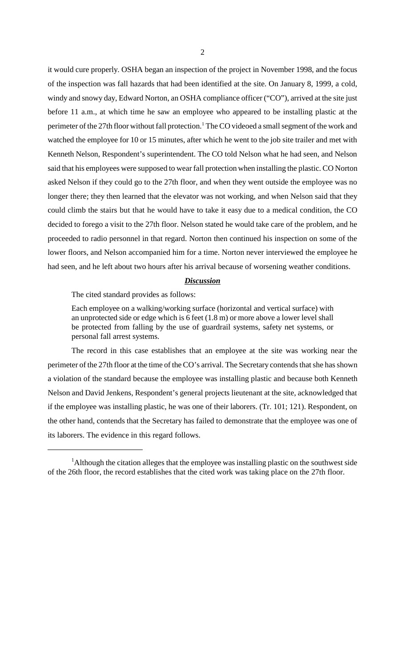it would cure properly. OSHA began an inspection of the project in November 1998, and the focus of the inspection was fall hazards that had been identified at the site. On January 8, 1999, a cold, windy and snowy day, Edward Norton, an OSHA compliance officer ("CO"), arrived at the site just before 11 a.m., at which time he saw an employee who appeared to be installing plastic at the perimeter of the 27th floor without fall protection.<sup>1</sup> The CO videoed a small segment of the work and watched the employee for 10 or 15 minutes, after which he went to the job site trailer and met with Kenneth Nelson, Respondent's superintendent. The CO told Nelson what he had seen, and Nelson said that his employees were supposed to wear fall protection when installing the plastic. CO Norton asked Nelson if they could go to the 27th floor, and when they went outside the employee was no longer there; they then learned that the elevator was not working, and when Nelson said that they could climb the stairs but that he would have to take it easy due to a medical condition, the CO decided to forego a visit to the 27th floor. Nelson stated he would take care of the problem, and he proceeded to radio personnel in that regard. Norton then continued his inspection on some of the lower floors, and Nelson accompanied him for a time. Norton never interviewed the employee he had seen, and he left about two hours after his arrival because of worsening weather conditions.

## *Discussion*

The cited standard provides as follows:

Each employee on a walking/working surface (horizontal and vertical surface) with an unprotected side or edge which is 6 feet (1.8 m) or more above a lower level shall be protected from falling by the use of guardrail systems, safety net systems, or personal fall arrest systems.

The record in this case establishes that an employee at the site was working near the perimeter of the 27th floor at the time of the CO's arrival. The Secretary contends that she has shown a violation of the standard because the employee was installing plastic and because both Kenneth Nelson and David Jenkens, Respondent's general projects lieutenant at the site, acknowledged that if the employee was installing plastic, he was one of their laborers. (Tr. 101; 121). Respondent, on the other hand, contends that the Secretary has failed to demonstrate that the employee was one of its laborers. The evidence in this regard follows.

<sup>&</sup>lt;sup>1</sup>Although the citation alleges that the employee was installing plastic on the southwest side of the 26th floor, the record establishes that the cited work was taking place on the 27th floor.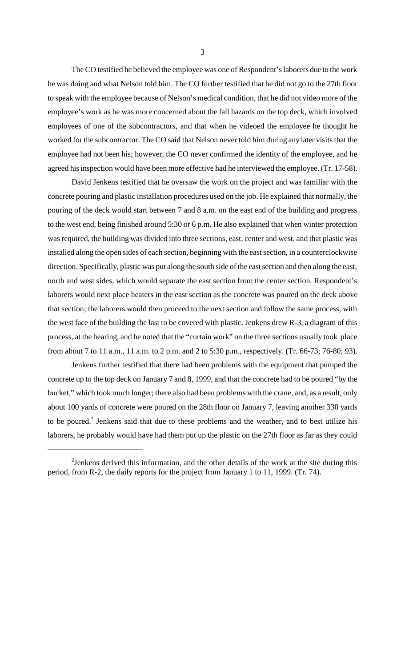The CO testified he believed the employee was one of Respondent's laborers due to the work he was doing and what Nelson told him. The CO further testified that he did not go to the 27th floor to speak with the employee because of Nelson's medical condition, that he did not video more of the employee's work as he was more concerned about the fall hazards on the top deck, which involved employees of one of the subcontractors, and that when he videoed the employee he thought he worked for the subcontractor. The CO said that Nelson never told him during any later visits that the employee had not been his; however, the CO never confirmed the identity of the employee, and he agreed his inspection would have been more effective had he interviewed the employee. (Tr. 17-58).

David Jenkens testified that he oversaw the work on the project and was familiar with the concrete pouring and plastic installation procedures used on the job. He explained that normally, the pouring of the deck would start between 7 and 8 a.m. on the east end of the building and progress to the west end, being finished around 5:30 or 6 p.m. He also explained that when winter protection was required, the building was divided into three sections, east, center and west, and that plastic was installed along the open sides of each section, beginning with the east section, in a counterclockwise direction. Specifically, plastic was put along the south side of the east section and then along the east, north and west sides, which would separate the east section from the center section. Respondent's laborers would next place heaters in the east section as the concrete was poured on the deck above that section; the laborers would then proceed to the next section and follow the same process, with the west face of the building the last to be covered with plastic. Jenkens drew R-3, a diagram of this process, at the hearing, and he noted that the "curtain work" on the three sections usually took place from about 7 to 11 a.m., 11 a.m. to 2 p.m. and 2 to 5:30 p.m., respectively. (Tr. 66-73; 76-80; 93).

Jenkens further testified that there had been problems with the equipment that pumped the concrete up to the top deck on January 7 and 8, 1999, and that the concrete had to be poured "by the bucket," which took much longer; there also had been problems with the crane, and, as a result, only about 100 yards of concrete were poured on the 28th floor on January 7, leaving another 330 yards to be poured.<sup>2</sup> Jenkens said that due to these problems and the weather, and to best utilize his laborers, he probably would have had them put up the plastic on the 27th floor as far as they could

 $2$ Jenkens derived this information, and the other details of the work at the site during this period, from R-2, the daily reports for the project from January 1 to 11, 1999. (Tr. 74).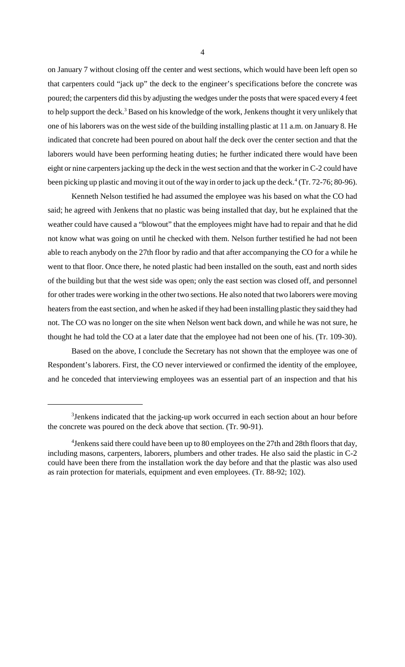on January 7 without closing off the center and west sections, which would have been left open so that carpenters could "jack up" the deck to the engineer's specifications before the concrete was poured; the carpenters did this by adjusting the wedges under the posts that were spaced every 4 feet to help support the deck.<sup>3</sup> Based on his knowledge of the work, Jenkens thought it very unlikely that one of his laborers was on the west side of the building installing plastic at 11 a.m. on January 8. He indicated that concrete had been poured on about half the deck over the center section and that the laborers would have been performing heating duties; he further indicated there would have been eight or nine carpenters jacking up the deck in the west section and that the worker in C-2 could have been picking up plastic and moving it out of the way in order to jack up the deck.<sup>4</sup> (Tr. 72-76; 80-96).

Kenneth Nelson testified he had assumed the employee was his based on what the CO had said; he agreed with Jenkens that no plastic was being installed that day, but he explained that the weather could have caused a "blowout" that the employees might have had to repair and that he did not know what was going on until he checked with them. Nelson further testified he had not been able to reach anybody on the 27th floor by radio and that after accompanying the CO for a while he went to that floor. Once there, he noted plastic had been installed on the south, east and north sides of the building but that the west side was open; only the east section was closed off, and personnel for other trades were working in the other two sections. He also noted that two laborers were moving heaters from the east section, and when he asked if they had been installing plastic they said they had not. The CO was no longer on the site when Nelson went back down, and while he was not sure, he thought he had told the CO at a later date that the employee had not been one of his. (Tr. 109-30).

Based on the above, I conclude the Secretary has not shown that the employee was one of Respondent's laborers. First, the CO never interviewed or confirmed the identity of the employee, and he conceded that interviewing employees was an essential part of an inspection and that his

<sup>&</sup>lt;sup>3</sup> Jenkens indicated that the jacking-up work occurred in each section about an hour before the concrete was poured on the deck above that section. (Tr. 90-91).

 $^4$ Jenkens said there could have been up to 80 employees on the 27th and 28th floors that day, including masons, carpenters, laborers, plumbers and other trades. He also said the plastic in C-2 could have been there from the installation work the day before and that the plastic was also used as rain protection for materials, equipment and even employees. (Tr. 88-92; 102).